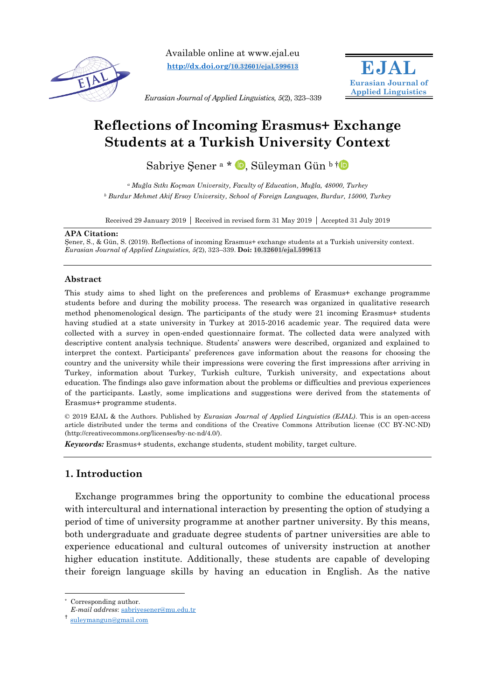

Available online at www.ejal.eu **[http://dx.doi.org/](http://dx.doi.org/10.32601/ejal.599613)10.32601/ejal.599613**



*Eurasian Journal of Applied Linguistics, 5*(2), 323–339

# **Reflections of Incoming Erasmus+ Exchange Students at a Turkish University Context**

Sabriye Sener <sup>a \*</sup> D. Süleyman Gün <sup>b [†](http://orcid.org/0000-0002-0388-7263) D</sup>

*<sup>a</sup> Muğla Sıtkı Koçman University, Faculty of Education, Muğla, 48000, Turkey <sup>b</sup> Burdur Mehmet Akif Ersoy University, School of Foreign Languages, Burdur, 15000, Turkey*

Received 29 January 2019 Received in revised form 31 May 2019 Accepted 31 July 2019

#### **APA Citation:**

Sener, S., & Gün, S. (2019). Reflections of incoming Erasmus+ exchange students at a Turkish university context. *Eurasian Journal of Applied Linguistics, 5(*2), 323–339. **Doi: 10.32601/ejal.599613**

#### **Abstract**

This study aims to shed light on the preferences and problems of Erasmus+ exchange programme students before and during the mobility process. The research was organized in qualitative research method phenomenological design. The participants of the study were 21 incoming Erasmus+ students having studied at a state university in Turkey at 2015-2016 academic year. The required data were collected with a survey in open-ended questionnaire format. The collected data were analyzed with descriptive content analysis technique. Students' answers were described, organized and explained to interpret the context. Participants' preferences gave information about the reasons for choosing the country and the university while their impressions were covering the first impressions after arriving in Turkey, information about Turkey, Turkish culture, Turkish university, and expectations about education. The findings also gave information about the problems or difficulties and previous experiences of the participants. Lastly, some implications and suggestions were derived from the statements of Erasmus+ programme students.

© 2019 EJAL & the Authors. Published by *Eurasian Journal of Applied Linguistics (EJAL)*. This is an open-access article distributed under the terms and conditions of the Creative Commons Attribution license (CC BY-NC-ND) (http://creativecommons.org/licenses/by-nc-nd/4.0/).

*Keywords:* Erasmus+ students, exchange students, student mobility, target culture.

# **1. Introduction**

Exchange programmes bring the opportunity to combine the educational process with intercultural and international interaction by presenting the option of studying a period of time of university programme at another partner university. By this means, both undergraduate and graduate degree students of partner universities are able to experience educational and cultural outcomes of university instruction at another higher education institute. Additionally, these students are capable of developing their foreign language skills by having an education in English. As the native

 $\overline{a}$ 

<sup>\*</sup> Corresponding author.

*E-mail address*: [sabriyesener@mu.edu.tr](mailto:sabriyesener@mu.edu.tr)

<sup>†</sup> [suleymangun@gmail.com](mailto:suleymangun@gmail.com)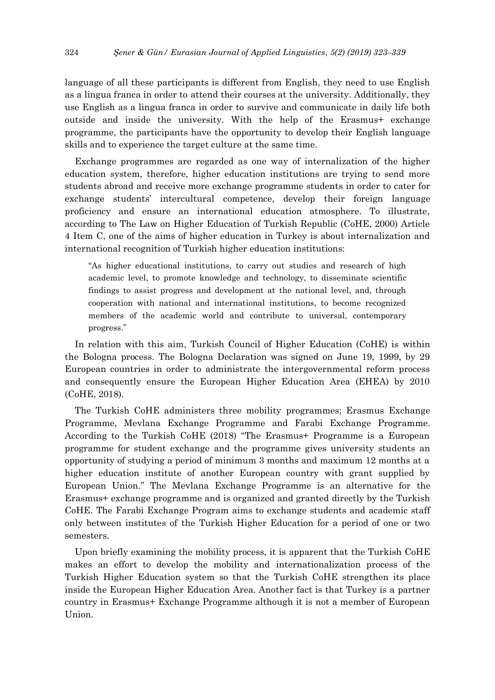language of all these participants is different from English, they need to use English as a lingua franca in order to attend their courses at the university. Additionally, they use English as a lingua franca in order to survive and communicate in daily life both outside and inside the university. With the help of the Erasmus+ exchange programme, the participants have the opportunity to develop their English language skills and to experience the target culture at the same time.

Exchange programmes are regarded as one way of internalization of the higher education system, therefore, higher education institutions are trying to send more students abroad and receive more exchange programme students in order to cater for exchange students' intercultural competence, develop their foreign language proficiency and ensure an international education atmosphere. To illustrate, according to The Law on Higher Education of Turkish Republic (CoHE, 2000) Article 4 Item C, one of the aims of higher education in Turkey is about internalization and international recognition of Turkish higher education institutions:

"As higher educational institutions, to carry out studies and research of high academic level, to promote knowledge and technology, to disseminate scientific findings to assist progress and development at the national level, and, through cooperation with national and international institutions, to become recognized members of the academic world and contribute to universal, contemporary progress."

In relation with this aim, Turkish Council of Higher Education (CoHE) is within the Bologna process. The Bologna Declaration was signed on June 19, 1999, by 29 European countries in order to administrate the intergovernmental reform process and consequently ensure the European Higher Education Area (EHEA) by 2010 (CoHE, 2018).

The Turkish CoHE administers three mobility programmes; Erasmus Exchange Programme, Mevlana Exchange Programme and Farabi Exchange Programme. According to the Turkish CoHE (2018) "The Erasmus+ Programme is a European programme for student exchange and the programme gives university students an opportunity of studying a period of minimum 3 months and maximum 12 months at a higher education institute of another European country with grant supplied by European Union." The Mevlana Exchange Programme is an alternative for the Erasmus+ exchange programme and is organized and granted directly by the Turkish CoHE. The Farabi Exchange Program aims to exchange students and academic staff only between institutes of the Turkish Higher Education for a period of one or two semesters.

Upon briefly examining the mobility process, it is apparent that the Turkish CoHE makes an effort to develop the mobility and internationalization process of the Turkish Higher Education system so that the Turkish CoHE strengthen its place inside the European Higher Education Area. Another fact is that Turkey is a partner country in Erasmus+ Exchange Programme although it is not a member of European Union.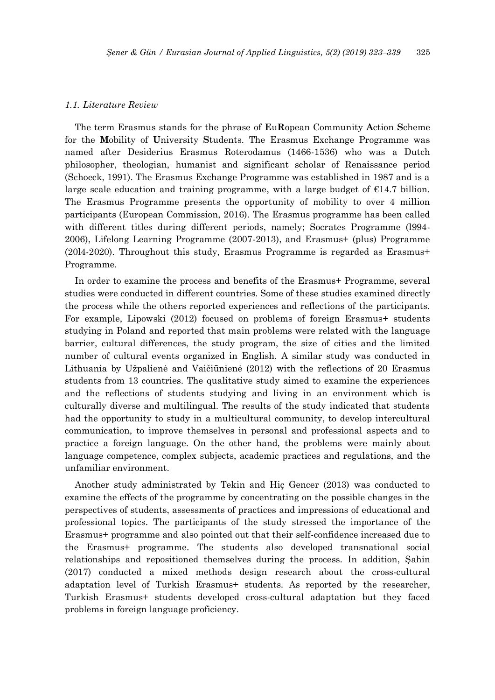## *1.1. Literature Review*

The term Erasmus stands for the phrase of **E**u**R**opean Community **A**ction **S**cheme for the **M**obility of **U**niversity **S**tudents. The Erasmus Exchange Programme was named after Desiderius Erasmus Roterodamus (1466-1536) who was a Dutch philosopher, theologian, humanist and significant scholar of Renaissance period (Schoeck, 1991). The Erasmus Exchange Programme was established in 1987 and is a large scale education and training programme, with a large budget of  $E14.7$  billion. The Erasmus Programme presents the opportunity of mobility to over 4 million participants (European Commission, 2016). The Erasmus programme has been called with different titles during different periods, namely; Socrates Programme (1994-2006), Lifelong Learning Programme (2007-2013), and Erasmus+ (plus) Programme (20l4-2020). Throughout this study, Erasmus Programme is regarded as Erasmus+ Programme.

In order to examine the process and benefits of the Erasmus+ Programme, several studies were conducted in different countries. Some of these studies examined directly the process while the others reported experiences and reflections of the participants. For example, Lipowski (2012) focused on problems of foreign Erasmus+ students studying in Poland and reported that main problems were related with the language barrier, cultural differences, the study program, the size of cities and the limited number of cultural events organized in English. A similar study was conducted in Lithuania by Užpalienė and Vaičiūnienė (2012) with the reflections of 20 Erasmus students from 13 countries. The qualitative study aimed to examine the experiences and the reflections of students studying and living in an environment which is culturally diverse and multilingual. The results of the study indicated that students had the opportunity to study in a multicultural community, to develop intercultural communication, to improve themselves in personal and professional aspects and to practice a foreign language. On the other hand, the problems were mainly about language competence, complex subjects, academic practices and regulations, and the unfamiliar environment.

Another study administrated by Tekin and Hiç Gencer (2013) was conducted to examine the effects of the programme by concentrating on the possible changes in the perspectives of students, assessments of practices and impressions of educational and professional topics. The participants of the study stressed the importance of the Erasmus+ programme and also pointed out that their self-confidence increased due to the Erasmus+ programme. The students also developed transnational social relationships and repositioned themselves during the process. In addition, Şahin (2017) conducted a mixed methods design research about the cross-cultural adaptation level of Turkish Erasmus+ students. As reported by the researcher, Turkish Erasmus+ students developed cross-cultural adaptation but they faced problems in foreign language proficiency.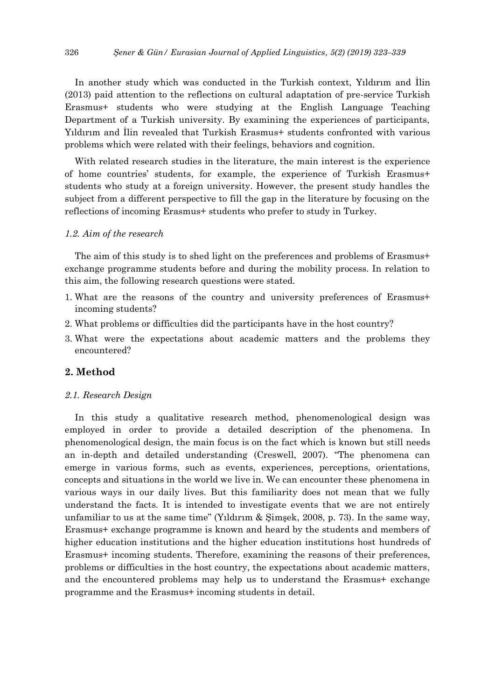In another study which was conducted in the Turkish context, Yıldırım and İlin (2013) paid attention to the reflections on cultural adaptation of pre-service Turkish Erasmus+ students who were studying at the English Language Teaching Department of a Turkish university. By examining the experiences of participants, Yıldırım and İlin revealed that Turkish Erasmus+ students confronted with various problems which were related with their feelings, behaviors and cognition.

With related research studies in the literature, the main interest is the experience of home countries' students, for example, the experience of Turkish Erasmus+ students who study at a foreign university. However, the present study handles the subject from a different perspective to fill the gap in the literature by focusing on the reflections of incoming Erasmus+ students who prefer to study in Turkey.

#### *1.2. Aim of the research*

The aim of this study is to shed light on the preferences and problems of Erasmus+ exchange programme students before and during the mobility process. In relation to this aim, the following research questions were stated.

- 1. What are the reasons of the country and university preferences of Erasmus+ incoming students?
- 2. What problems or difficulties did the participants have in the host country?
- 3. What were the expectations about academic matters and the problems they encountered?

# **2. Method**

## *2.1. Research Design*

In this study a qualitative research method, phenomenological design was employed in order to provide a detailed description of the phenomena. In phenomenological design, the main focus is on the fact which is known but still needs an in-depth and detailed understanding (Creswell, 2007). "The phenomena can emerge in various forms, such as events, experiences, perceptions, orientations, concepts and situations in the world we live in. We can encounter these phenomena in various ways in our daily lives. But this familiarity does not mean that we fully understand the facts. It is intended to investigate events that we are not entirely unfamiliar to us at the same time" (Yıldırım & Şimşek, 2008, p. 73). In the same way, Erasmus+ exchange programme is known and heard by the students and members of higher education institutions and the higher education institutions host hundreds of Erasmus+ incoming students. Therefore, examining the reasons of their preferences, problems or difficulties in the host country, the expectations about academic matters, and the encountered problems may help us to understand the Erasmus+ exchange programme and the Erasmus+ incoming students in detail.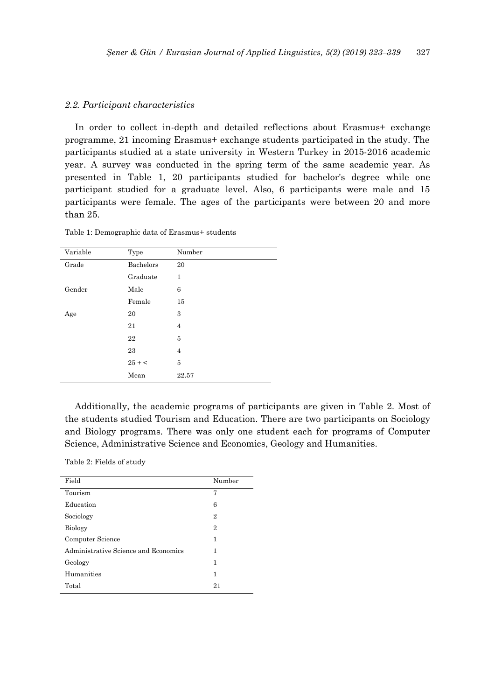## *2.2. Participant characteristics*

In order to collect in-depth and detailed reflections about Erasmus+ exchange programme, 21 incoming Erasmus+ exchange students participated in the study. The participants studied at a state university in Western Turkey in 2015-2016 academic year. A survey was conducted in the spring term of the same academic year. As presented in Table 1, 20 participants studied for bachelor's degree while one participant studied for a graduate level. Also, 6 participants were male and 15 participants were female. The ages of the participants were between 20 and more than 25.

Table 1: Demographic data of Erasmus+ students

| Variable | Type      | Number         |
|----------|-----------|----------------|
| Grade    | Bachelors | 20             |
|          | Graduate  | 1              |
| Gender   | Male      | 6              |
|          | Female    | 15             |
| Age      | 20        | 3              |
|          | 21        | $\overline{4}$ |
|          | 22        | 5              |
|          | 23        | $\overline{4}$ |
|          | $25 + c$  | 5              |
|          | Mean      | 22.57          |

Additionally, the academic programs of participants are given in Table 2. Most of the students studied Tourism and Education. There are two participants on Sociology and Biology programs. There was only one student each for programs of Computer Science, Administrative Science and Economics, Geology and Humanities.

Table 2: Fields of study

| Field                                | Number         |
|--------------------------------------|----------------|
| Tourism                              | 7              |
| Education                            | 6              |
| Sociology                            | 2              |
| <b>Biology</b>                       | $\overline{2}$ |
| Computer Science                     | 1              |
| Administrative Science and Economics | 1              |
| Geology                              | 1              |
| Humanities                           | 1              |
| Total                                | 21             |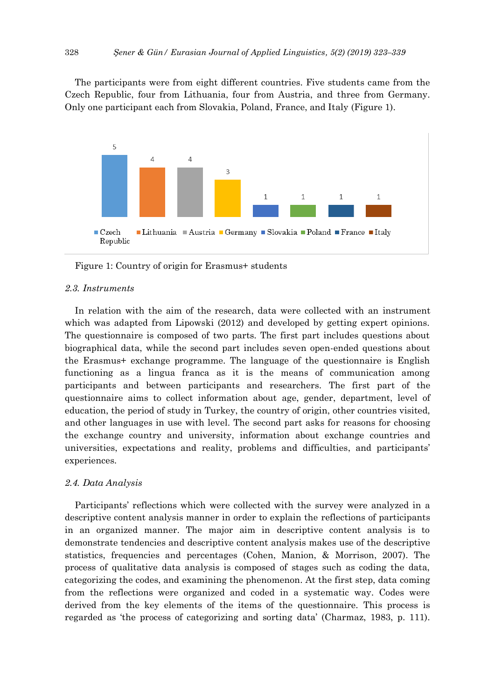The participants were from eight different countries. Five students came from the Czech Republic, four from Lithuania, four from Austria, and three from Germany. Only one participant each from Slovakia, Poland, France, and Italy (Figure 1).



Figure 1: Country of origin for Erasmus+ students

## *2.3. Instruments*

In relation with the aim of the research, data were collected with an instrument which was adapted from Lipowski (2012) and developed by getting expert opinions. The questionnaire is composed of two parts. The first part includes questions about biographical data, while the second part includes seven open-ended questions about the Erasmus+ exchange programme. The language of the questionnaire is English functioning as a lingua franca as it is the means of communication among participants and between participants and researchers. The first part of the questionnaire aims to collect information about age, gender, department, level of education, the period of study in Turkey, the country of origin, other countries visited, and other languages in use with level. The second part asks for reasons for choosing the exchange country and university, information about exchange countries and universities, expectations and reality, problems and difficulties, and participants' experiences.

#### *2.4. Data Analysis*

Participants' reflections which were collected with the survey were analyzed in a descriptive content analysis manner in order to explain the reflections of participants in an organized manner. The major aim in descriptive content analysis is to demonstrate tendencies and descriptive content analysis makes use of the descriptive statistics, frequencies and percentages (Cohen, Manion, & Morrison, 2007). The process of qualitative data analysis is composed of stages such as coding the data, categorizing the codes, and examining the phenomenon. At the first step, data coming from the reflections were organized and coded in a systematic way. Codes were derived from the key elements of the items of the questionnaire. This process is regarded as 'the process of categorizing and sorting data' (Charmaz, 1983, p. 111).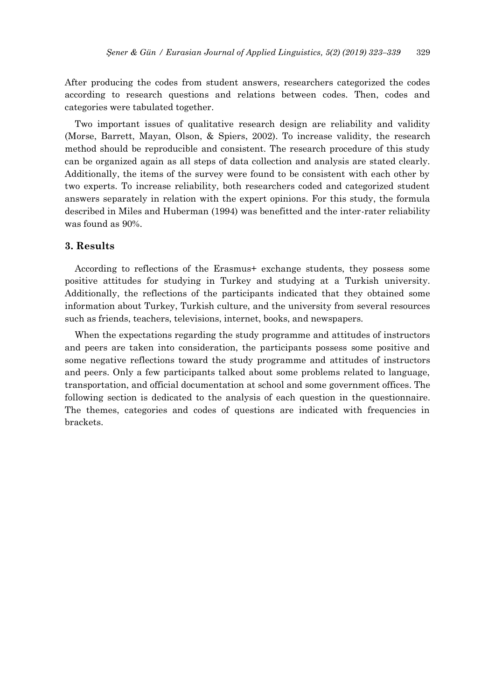After producing the codes from student answers, researchers categorized the codes according to research questions and relations between codes. Then, codes and categories were tabulated together.

Two important issues of qualitative research design are reliability and validity (Morse, Barrett, Mayan, Olson, & Spiers, 2002). To increase validity, the research method should be reproducible and consistent. The research procedure of this study can be organized again as all steps of data collection and analysis are stated clearly. Additionally, the items of the survey were found to be consistent with each other by two experts. To increase reliability, both researchers coded and categorized student answers separately in relation with the expert opinions. For this study, the formula described in Miles and Huberman (1994) was benefitted and the inter-rater reliability was found as 90%.

## **3. Results**

According to reflections of the Erasmus+ exchange students, they possess some positive attitudes for studying in Turkey and studying at a Turkish university. Additionally, the reflections of the participants indicated that they obtained some information about Turkey, Turkish culture, and the university from several resources such as friends, teachers, televisions, internet, books, and newspapers.

When the expectations regarding the study programme and attitudes of instructors and peers are taken into consideration, the participants possess some positive and some negative reflections toward the study programme and attitudes of instructors and peers. Only a few participants talked about some problems related to language, transportation, and official documentation at school and some government offices. The following section is dedicated to the analysis of each question in the questionnaire. The themes, categories and codes of questions are indicated with frequencies in brackets.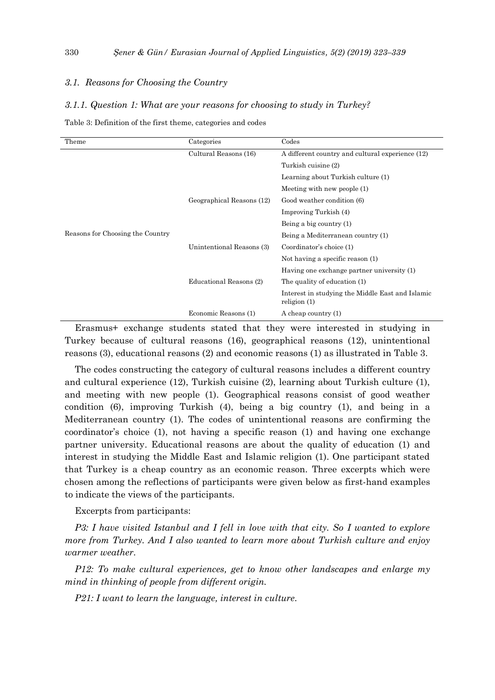## *3.1. Reasons for Choosing the Country*

## *3.1.1. Question 1: What are your reasons for choosing to study in Turkey?*

Table 3: Definition of the first theme, categories and codes

| Theme                            | Categories                | Codes                                                              |
|----------------------------------|---------------------------|--------------------------------------------------------------------|
|                                  | Cultural Reasons (16)     | A different country and cultural experience (12)                   |
|                                  |                           | Turkish cuisine (2)                                                |
|                                  |                           | Learning about Turkish culture (1)                                 |
|                                  |                           | Meeting with new people (1)                                        |
|                                  | Geographical Reasons (12) | Good weather condition (6)                                         |
|                                  |                           | Improving Turkish (4)                                              |
|                                  |                           | Being a big country $(1)$                                          |
| Reasons for Choosing the Country |                           | Being a Mediterranean country (1)                                  |
|                                  | Unintentional Reasons (3) | Coordinator's choice (1)                                           |
|                                  |                           | Not having a specific reason (1)                                   |
|                                  |                           | Having one exchange partner university (1)                         |
|                                  | Educational Reasons (2)   | The quality of education (1)                                       |
|                                  |                           | Interest in studying the Middle East and Islamic<br>religion $(1)$ |
|                                  | Economic Reasons (1)      | A cheap country (1)                                                |

Erasmus+ exchange students stated that they were interested in studying in Turkey because of cultural reasons (16), geographical reasons (12), unintentional reasons (3), educational reasons (2) and economic reasons (1) as illustrated in Table 3.

The codes constructing the category of cultural reasons includes a different country and cultural experience (12), Turkish cuisine (2), learning about Turkish culture (1), and meeting with new people (1). Geographical reasons consist of good weather condition (6), improving Turkish (4), being a big country (1), and being in a Mediterranean country (1). The codes of unintentional reasons are confirming the coordinator's choice (1), not having a specific reason (1) and having one exchange partner university. Educational reasons are about the quality of education (1) and interest in studying the Middle East and Islamic religion (1). One participant stated that Turkey is a cheap country as an economic reason. Three excerpts which were chosen among the reflections of participants were given below as first-hand examples to indicate the views of the participants.

Excerpts from participants:

*P3: I have visited Istanbul and I fell in love with that city. So I wanted to explore more from Turkey. And I also wanted to learn more about Turkish culture and enjoy warmer weather.*

*P12: To make cultural experiences, get to know other landscapes and enlarge my mind in thinking of people from different origin.*

*P21: I want to learn the language, interest in culture.*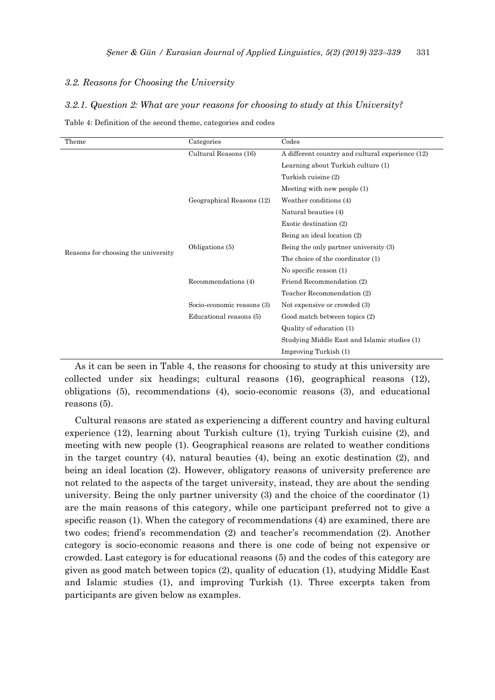## *3.2. Reasons for Choosing the University*

#### *3.2.1. Question 2: What are your reasons for choosing to study at this University?*

| Theme                               | Categories                 | Codes                                            |
|-------------------------------------|----------------------------|--------------------------------------------------|
|                                     | Cultural Reasons (16)      | A different country and cultural experience (12) |
|                                     |                            | Learning about Turkish culture (1)               |
|                                     |                            | Turkish cuisine (2)                              |
|                                     |                            | Meeting with new people $(1)$                    |
|                                     | Geographical Reasons (12)  | Weather conditions (4)                           |
|                                     |                            | Natural beauties (4)                             |
| Reasons for choosing the university |                            | Exotic destination (2)                           |
|                                     |                            | Being an ideal location (2)                      |
|                                     | Obligations (5)            | Being the only partner university (3)            |
|                                     |                            | The choice of the coordinator (1)                |
|                                     |                            | No specific reason (1)                           |
|                                     | Recommendations (4)        | Friend Recommendation (2)                        |
|                                     |                            | Teacher Recommendation (2)                       |
|                                     | Socio-economic reasons (3) | Not expensive or crowded (3)                     |
|                                     | Educational reasons (5)    | Good match between topics (2)                    |
|                                     |                            | Quality of education (1)                         |
|                                     |                            | Studying Middle East and Islamic studies (1)     |
|                                     |                            | Improving Turkish (1)                            |

Table 4: Definition of the second theme, categories and codes

As it can be seen in Table 4, the reasons for choosing to study at this university are collected under six headings; cultural reasons (16), geographical reasons (12), obligations (5), recommendations (4), socio-economic reasons (3), and educational reasons (5).

Cultural reasons are stated as experiencing a different country and having cultural experience (12), learning about Turkish culture (1), trying Turkish cuisine (2), and meeting with new people (1). Geographical reasons are related to weather conditions in the target country (4), natural beauties (4), being an exotic destination (2), and being an ideal location (2). However, obligatory reasons of university preference are not related to the aspects of the target university, instead, they are about the sending university. Being the only partner university (3) and the choice of the coordinator (1) are the main reasons of this category, while one participant preferred not to give a specific reason (1). When the category of recommendations (4) are examined, there are two codes; friend's recommendation (2) and teacher's recommendation (2). Another category is socio-economic reasons and there is one code of being not expensive or crowded. Last category is for educational reasons (5) and the codes of this category are given as good match between topics (2), quality of education (1), studying Middle East and Islamic studies (1), and improving Turkish (1). Three excerpts taken from participants are given below as examples.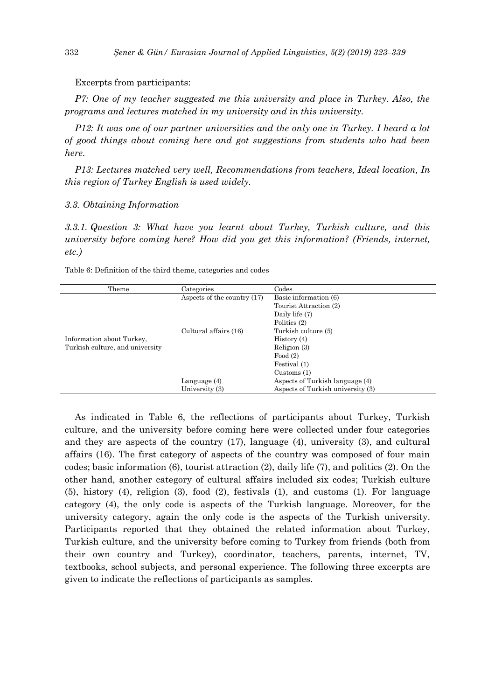Excerpts from participants:

*P7: One of my teacher suggested me this university and place in Turkey. Also, the programs and lectures matched in my university and in this university.*

*P12: It was one of our partner universities and the only one in Turkey. I heard a lot of good things about coming here and got suggestions from students who had been here.* 

*P13: Lectures matched very well, Recommendations from teachers, Ideal location, In this region of Turkey English is used widely.*

#### *3.3. Obtaining Information*

*3.3.1. Question 3: What have you learnt about Turkey, Turkish culture, and this university before coming here? How did you get this information? (Friends, internet, etc.)*

Table 6: Definition of the third theme, categories and codes

| Theme                           | Categories                  | Codes                             |
|---------------------------------|-----------------------------|-----------------------------------|
|                                 | Aspects of the country (17) | Basic information (6)             |
|                                 |                             | Tourist Attraction (2)            |
|                                 |                             | Daily life (7)                    |
|                                 |                             | Politics (2)                      |
|                                 | Cultural affairs (16)       | Turkish culture (5)               |
| Information about Turkey,       |                             | History (4)                       |
| Turkish culture, and university |                             | Religion $(3)$                    |
|                                 |                             | Food $(2)$                        |
|                                 |                             | Festival (1)                      |
|                                 |                             | Customs $(1)$                     |
|                                 | Language $(4)$              | Aspects of Turkish language (4)   |
|                                 | University (3)              | Aspects of Turkish university (3) |

As indicated in Table 6, the reflections of participants about Turkey, Turkish culture, and the university before coming here were collected under four categories and they are aspects of the country (17), language (4), university (3), and cultural affairs (16). The first category of aspects of the country was composed of four main codes; basic information (6), tourist attraction (2), daily life (7), and politics (2). On the other hand, another category of cultural affairs included six codes; Turkish culture (5), history (4), religion (3), food (2), festivals (1), and customs (1). For language category (4), the only code is aspects of the Turkish language. Moreover, for the university category, again the only code is the aspects of the Turkish university. Participants reported that they obtained the related information about Turkey, Turkish culture, and the university before coming to Turkey from friends (both from their own country and Turkey), coordinator, teachers, parents, internet, TV, textbooks, school subjects, and personal experience. The following three excerpts are given to indicate the reflections of participants as samples.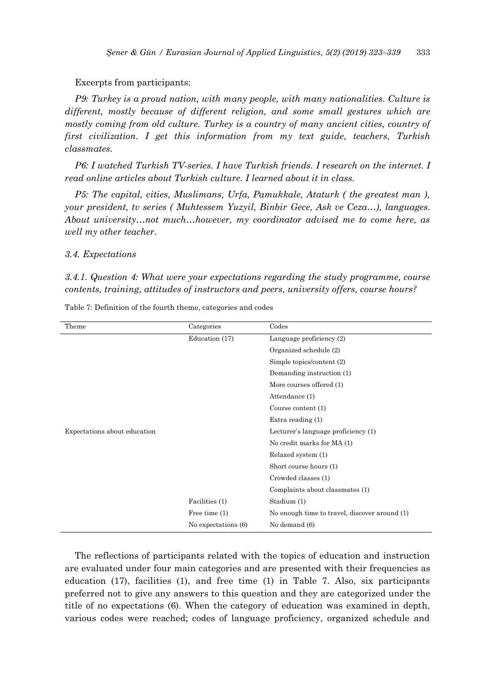## Excerpts from participants:

*P9: Turkey is a proud nation, with many people, with many nationalities. Culture is different, mostly because of different religion, and some small gestures which are mostly coming from old culture. Turkey is a country of many ancient cities, country of first civilization. I get this information from my text guide, teachers, Turkish classmates.*

*P6: I watched Turkish TV-series. I have Turkish friends. I research on the internet. I read online articles about Turkish culture. I learned about it in class.*

*P5: The capital, cities, Muslimans, Urfa, Pamukkale, Ataturk ( the greatest man ), your president, tv series ( Muhtessem Yuzyil, Binbir Gece, Ask ve Ceza…), languages. About university…not much…however, my coordinator advised me to come here, as well my other teacher.*

## *3.4. Expectations*

*3.4.1. Question 4: What were your expectations regarding the study programme, course contents, training, attitudes of instructors and peers, university offers, course hours?*

| Theme                        | Categories          | Codes                                         |
|------------------------------|---------------------|-----------------------------------------------|
|                              | Education (17)      | Language proficiency (2)                      |
|                              |                     | Organized schedule (2)                        |
|                              |                     | Simple topics/content (2)                     |
|                              |                     | Demanding instruction (1)                     |
|                              |                     | More courses offered (1)                      |
|                              |                     | Attendance (1)                                |
|                              |                     | Course content (1)                            |
|                              |                     | Extra reading $(1)$                           |
| Expectations about education |                     | Lecturer's language proficiency (1)           |
|                              |                     | No credit marks for MA (1)                    |
|                              |                     | Relaxed system (1)                            |
|                              |                     | Short course hours (1)                        |
|                              |                     | Crowded classes (1)                           |
|                              |                     | Complaints about classmates (1)               |
|                              | Facilities (1)      | Stadium (1)                                   |
|                              | Free time $(1)$     | No enough time to travel, discover around (1) |
|                              | No expectations (6) | No demand (6)                                 |

Table 7: Definition of the fourth theme, categories and codes

The reflections of participants related with the topics of education and instruction are evaluated under four main categories and are presented with their frequencies as education (17), facilities (1), and free time (1) in Table 7. Also, six participants preferred not to give any answers to this question and they are categorized under the title of no expectations (6). When the category of education was examined in depth, various codes were reached; codes of language proficiency, organized schedule and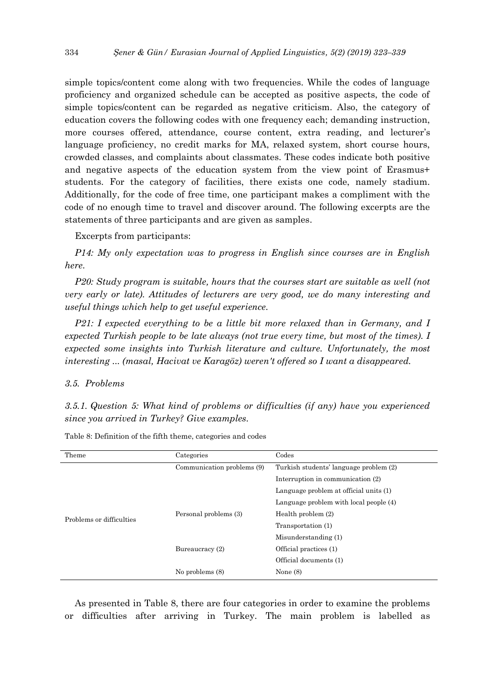simple topics/content come along with two frequencies. While the codes of language proficiency and organized schedule can be accepted as positive aspects, the code of simple topics/content can be regarded as negative criticism. Also, the category of education covers the following codes with one frequency each; demanding instruction, more courses offered, attendance, course content, extra reading, and lecturer's language proficiency, no credit marks for MA, relaxed system, short course hours, crowded classes, and complaints about classmates. These codes indicate both positive and negative aspects of the education system from the view point of Erasmus+ students. For the category of facilities, there exists one code, namely stadium. Additionally, for the code of free time, one participant makes a compliment with the code of no enough time to travel and discover around. The following excerpts are the statements of three participants and are given as samples.

Excerpts from participants:

*P14: My only expectation was to progress in English since courses are in English here.* 

*P20: Study program is suitable, hours that the courses start are suitable as well (not very early or late). Attitudes of lecturers are very good, we do many interesting and useful things which help to get useful experience.*

*P21: I expected everything to be a little bit more relaxed than in Germany, and I expected Turkish people to be late always (not true every time, but most of the times). I expected some insights into Turkish literature and culture. Unfortunately, the most interesting ... (masal, Hacivat ve Karagöz) weren't offered so I want a disappeared.*

#### *3.5. Problems*

*3.5.1. Question 5: What kind of problems or difficulties (if any) have you experienced since you arrived in Turkey? Give examples.*

| Theme                    | Categories                 | Codes                                  |
|--------------------------|----------------------------|----------------------------------------|
|                          | Communication problems (9) | Turkish students' language problem (2) |
|                          |                            | Interruption in communication (2)      |
|                          |                            | Language problem at official units (1) |
|                          |                            | Language problem with local people (4) |
| Problems or difficulties | Personal problems (3)      | Health problem $(2)$                   |
|                          |                            | Transportation (1)                     |
|                          |                            | Misunderstanding (1)                   |
|                          | Bureaucracy (2)            | Official practices (1)                 |
|                          |                            | Official documents (1)                 |
|                          | No problems (8)            | None $(8)$                             |
|                          |                            |                                        |

Table 8: Definition of the fifth theme, categories and codes

As presented in Table 8, there are four categories in order to examine the problems or difficulties after arriving in Turkey. The main problem is labelled as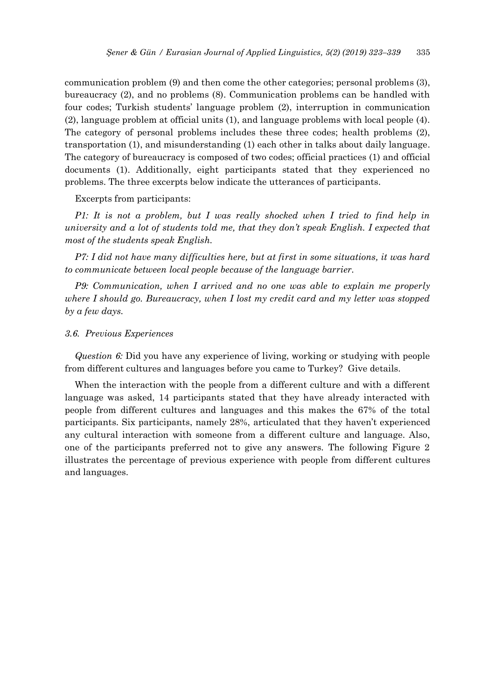communication problem (9) and then come the other categories; personal problems (3), bureaucracy (2), and no problems (8). Communication problems can be handled with four codes; Turkish students' language problem (2), interruption in communication (2), language problem at official units (1), and language problems with local people (4). The category of personal problems includes these three codes; health problems (2), transportation (1), and misunderstanding (1) each other in talks about daily language. The category of bureaucracy is composed of two codes; official practices (1) and official documents (1). Additionally, eight participants stated that they experienced no problems. The three excerpts below indicate the utterances of participants.

Excerpts from participants:

*P1: It is not a problem, but I was really shocked when I tried to find help in university and a lot of students told me, that they don't speak English. I expected that most of the students speak English.*

*P7: I did not have many difficulties here, but at first in some situations, it was hard to communicate between local people because of the language barrier.* 

*P9: Communication, when I arrived and no one was able to explain me properly where I should go. Bureaucracy, when I lost my credit card and my letter was stopped by a few days.*

#### *3.6. Previous Experiences*

*Question 6:* Did you have any experience of living, working or studying with people from different cultures and languages before you came to Turkey? Give details.

When the interaction with the people from a different culture and with a different language was asked, 14 participants stated that they have already interacted with people from different cultures and languages and this makes the 67% of the total participants. Six participants, namely 28%, articulated that they haven't experienced any cultural interaction with someone from a different culture and language. Also, one of the participants preferred not to give any answers. The following Figure 2 illustrates the percentage of previous experience with people from different cultures and languages.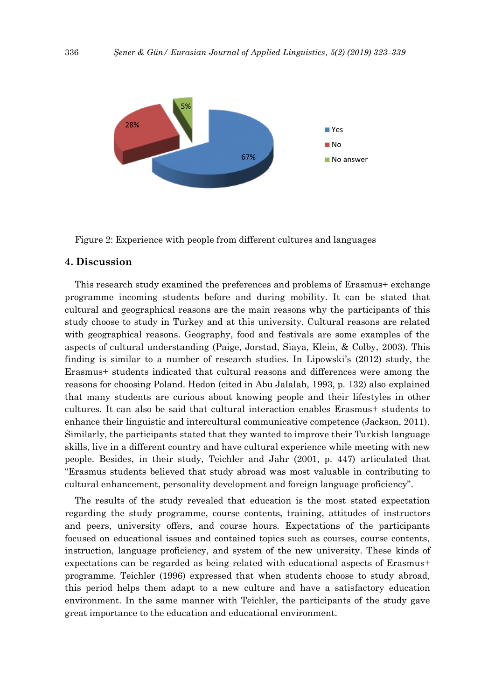

Figure 2: Experience with people from different cultures and languages

## **4. Discussion**

This research study examined the preferences and problems of Erasmus+ exchange programme incoming students before and during mobility. It can be stated that cultural and geographical reasons are the main reasons why the participants of this study choose to study in Turkey and at this university. Cultural reasons are related with geographical reasons. Geography, food and festivals are some examples of the aspects of cultural understanding (Paige, Jorstad, Siaya, Klein, & Colby, 2003). This finding is similar to a number of research studies. In Lipowski's (2012) study, the Erasmus+ students indicated that cultural reasons and differences were among the reasons for choosing Poland. Hedon (cited in Abu Jalalah, 1993, p. 132) also explained that many students are curious about knowing people and their lifestyles in other cultures. It can also be said that cultural interaction enables Erasmus+ students to enhance their linguistic and intercultural communicative competence (Jackson, 2011). Similarly, the participants stated that they wanted to improve their Turkish language skills, live in a different country and have cultural experience while meeting with new people. Besides, in their study, Teichler and Jahr (2001, p. 447) articulated that "Erasmus students believed that study abroad was most valuable in contributing to cultural enhancement, personality development and foreign language proficiency".

The results of the study revealed that education is the most stated expectation regarding the study programme, course contents, training, attitudes of instructors and peers, university offers, and course hours. Expectations of the participants focused on educational issues and contained topics such as courses, course contents, instruction, language proficiency, and system of the new university. These kinds of expectations can be regarded as being related with educational aspects of Erasmus+ programme. Teichler (1996) expressed that when students choose to study abroad, this period helps them adapt to a new culture and have a satisfactory education environment. In the same manner with Teichler, the participants of the study gave great importance to the education and educational environment.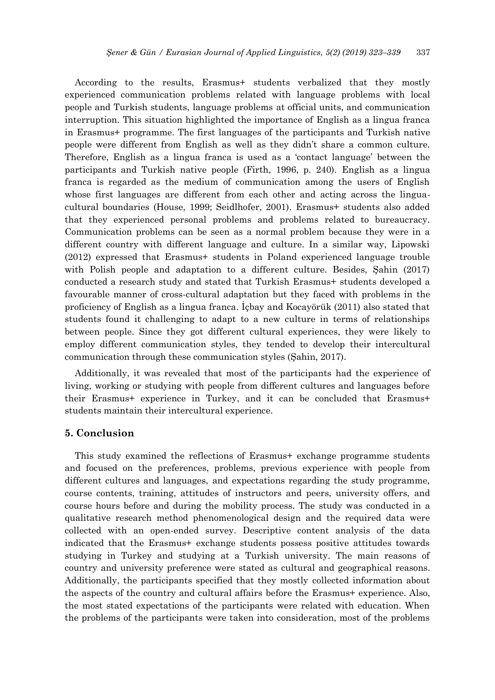According to the results, Erasmus+ students verbalized that they mostly experienced communication problems related with language problems with local people and Turkish students, language problems at official units, and communication interruption. This situation highlighted the importance of English as a lingua franca in Erasmus+ programme. The first languages of the participants and Turkish native people were different from English as well as they didn't share a common culture. Therefore, English as a lingua franca is used as a 'contact language' between the participants and Turkish native people (Firth, 1996, p. 240). English as a lingua franca is regarded as the medium of communication among the users of English whose first languages are different from each other and acting across the linguacultural boundaries (House, 1999; Seidlhofer, 2001). Erasmus+ students also added that they experienced personal problems and problems related to bureaucracy. Communication problems can be seen as a normal problem because they were in a different country with different language and culture. In a similar way, Lipowski (2012) expressed that Erasmus+ students in Poland experienced language trouble with Polish people and adaptation to a different culture. Besides, Şahin (2017) conducted a research study and stated that Turkish Erasmus+ students developed a favourable manner of cross-cultural adaptation but they faced with problems in the proficiency of English as a lingua franca. İçbay and Kocayörük (2011) also stated that students found it challenging to adapt to a new culture in terms of relationships between people. Since they got different cultural experiences, they were likely to employ different communication styles, they tended to develop their intercultural communication through these communication styles (Şahin, 2017).

Additionally, it was revealed that most of the participants had the experience of living, working or studying with people from different cultures and languages before their Erasmus+ experience in Turkey, and it can be concluded that Erasmus+ students maintain their intercultural experience.

# **5. Conclusion**

This study examined the reflections of Erasmus+ exchange programme students and focused on the preferences, problems, previous experience with people from different cultures and languages, and expectations regarding the study programme, course contents, training, attitudes of instructors and peers, university offers, and course hours before and during the mobility process. The study was conducted in a qualitative research method phenomenological design and the required data were collected with an open-ended survey. Descriptive content analysis of the data indicated that the Erasmus+ exchange students possess positive attitudes towards studying in Turkey and studying at a Turkish university. The main reasons of country and university preference were stated as cultural and geographical reasons. Additionally, the participants specified that they mostly collected information about the aspects of the country and cultural affairs before the Erasmus+ experience. Also, the most stated expectations of the participants were related with education. When the problems of the participants were taken into consideration, most of the problems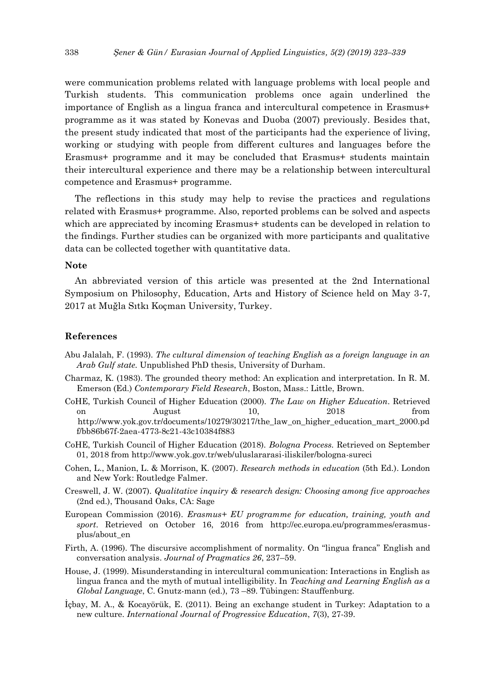were communication problems related with language problems with local people and Turkish students. This communication problems once again underlined the importance of English as a lingua franca and intercultural competence in Erasmus+ programme as it was stated by Konevas and Duoba (2007) previously. Besides that, the present study indicated that most of the participants had the experience of living, working or studying with people from different cultures and languages before the Erasmus+ programme and it may be concluded that Erasmus+ students maintain their intercultural experience and there may be a relationship between intercultural competence and Erasmus+ programme.

The reflections in this study may help to revise the practices and regulations related with Erasmus+ programme. Also, reported problems can be solved and aspects which are appreciated by incoming Erasmus+ students can be developed in relation to the findings. Further studies can be organized with more participants and qualitative data can be collected together with quantitative data.

#### **Note**

An abbreviated version of this article was presented at the 2nd International Symposium on Philosophy, Education, Arts and History of Science held on May 3-7, 2017 at Muğla Sıtkı Koçman University, Turkey.

## **References**

- Abu Jalalah, F. (1993). *The cultural dimension of teaching English as a foreign language in an Arab Gulf state.* Unpublished PhD thesis, University of Durham.
- Charmaz, K. (1983). The grounded theory method: An explication and interpretation. In R. M. Emerson (Ed.) *Contemporary Field Research*, Boston, Mass.: Little, Brown.
- CoHE, Turkish Council of Higher Education (2000). *The Law on Higher Education*. Retrieved on August 10, 2018 from http://www.yok.gov.tr/documents/10279/30217/the\_law\_on\_higher\_education\_mart\_2000.pd f/bb86b67f-2aea-4773-8c21-43c10384f883
- CoHE, Turkish Council of Higher Education (2018). *Bologna Process.* Retrieved on September 01, 2018 from http://www.yok.gov.tr/web/uluslararasi-iliskiler/bologna-sureci
- Cohen, L., Manion, L. & Morrison, K. (2007). *Research methods in education* (5th Ed.). London and New York: Routledge Falmer.
- Creswell, J. W. (2007). *Qualitative inquiry & research design: Choosing among five approaches*  (2nd ed.), Thousand Oaks, CA: Sage
- European Commission (2016). *Erasmus+ EU programme for education, training, youth and sport*. Retrieved on October 16, 2016 from http://ec.europa.eu/programmes/erasmusplus/about\_en
- Firth, A. (1996). The discursive accomplishment of normality. On "lingua franca" English and conversation analysis. *Journal of Pragmatics 26*, 237–59.
- House, J. (1999). Misunderstanding in intercultural communication: Interactions in English as lingua franca and the myth of mutual intelligibility. In *Teaching and Learning English as a Global Language*, C. Gnutz-mann (ed.), 73 –89. Tübingen: Stauffenburg.
- İçbay, M. A., & Kocayörük, E. (2011). Being an exchange student in Turkey: Adaptation to a new culture. *International Journal of Progressive Education*, *7*(3), 27-39.